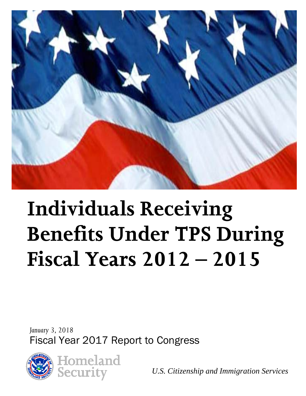

# **Individuals Receiving Benefits Under TPS During Fiscal Years 2012 – 2015**

*January 3, 2018*  Fiscal Year 2017 Report to Congress



*U.S. Citizenship and Immigration Services*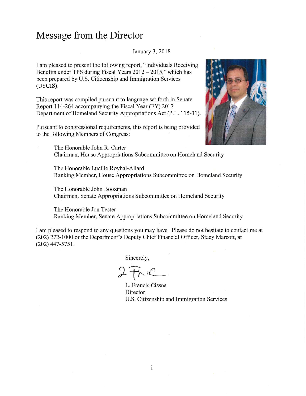### Message from the Director

#### January 3, 2018

I am pleased to present the following report, "Individuals Receiving Benefits under TPS during Fiscal Years 2012 – 2015," which has been prepared by U.S. Citizenship and Immigration Services (USCIS).

This report was compiled pursuant to language set forth in Senate Report 114-264 accompanying the Fiscal Year (FY) 2017 Department of Homeland Security Appropriations Act (P.L. 115-31).

Pursuant to congressional requirements, this report is being provided to the following Members of Congress:



The Honorable John R. Carter Chairman, House Appropriations Subcommittee on Homeland Security

The Honorable Lucille Roybal-Allard Ranking Member, House Appropriations Subcommittee on Homeland Security

The Honorable John Boozman Chairman, Senate Appropriations Subcommittee on Homeland Security

The Honorable Jon Tester Ranking Member, Senate Appropriations Subcommittee on Homeland Security

I am pleased to respond to any questions you may have. Please do not hesitate to contact me at (202) 272-1000 or the Department's Deputy Chief Financial Officer, Stacy Marcott, at  $(202)$  447-5751.

Sincerely,

tric

L. Francis Cissna Director U.S. Citizenship and Immigration Services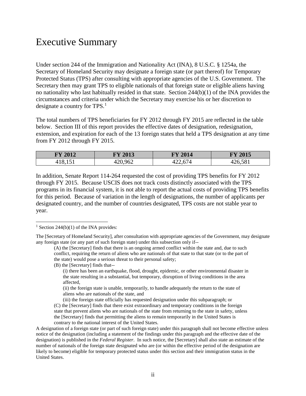# Executive Summary

Under section 244 of the Immigration and Nationality Act (INA), 8 U.S.C. § 1254a, the Secretary of Homeland Security may designate a foreign state (or part thereof) for Temporary Protected Status (TPS) after consulting with appropriate agencies of the U.S. Government. The Secretary then may grant TPS to eligible nationals of that foreign state or eligible aliens having no nationality who last habitually resided in that state. Section 244(b)(1) of the INA provides the circumstances and criteria under which the Secretary may exercise his or her discretion to designate a country for TPS. $<sup>1</sup>$  $<sup>1</sup>$  $<sup>1</sup>$ </sup>

The total numbers of TPS beneficiaries for FY 2012 through FY 2015 are reflected in the table below. Section III of this report provides the effective dates of designation, redesignation, extension, and expiration for each of the 13 foreign states that held a TPS designation at any time from FY 2012 through FY 2015.

| <b>FY 2012</b> | FY 2013       | <b>FV 2014</b> |            |
|----------------|---------------|----------------|------------|
| $+18,15$       | 20,962        | $\sim$         | $\sim$ 0.4 |
| $\sim$         | $\sim$ $\sim$ | 4              |            |

In addition, Senate Report 114-264 requested the cost of providing TPS benefits for FY 2012 through FY 2015. Because USCIS does not track costs distinctly associated with the TPS programs in its financial system, it is not able to report the actual costs of providing TPS benefits for this period. Because of variation in the length of designations, the number of applicants per designated country, and the number of countries designated, TPS costs are not stable year to year.

 $\overline{a}$ 

(B) the [Secretary] finds that--

<span id="page-2-0"></span><sup>&</sup>lt;sup>1</sup> Section 244(b)(1) of the INA provides:

The [Secretary of Homeland Security], after consultation with appropriate agencies of the Government, may designate any foreign state (or any part of such foreign state) under this subsection only if--

<sup>(</sup>A) the [Secretary] finds that there is an ongoing armed conflict within the state and, due to such conflict, requiring the return of aliens who are nationals of that state to that state (or to the part of the state) would pose a serious threat to their personal safety;

<sup>(</sup>i) there has been an earthquake, flood, drought, epidemic, or other environmental disaster in the state resulting in a substantial, but temporary, disruption of living conditions in the area affected,

<sup>(</sup>ii) the foreign state is unable, temporarily, to handle adequately the return to the state of aliens who are nationals of the state, and

<sup>(</sup>iii) the foreign state officially has requested designation under this subparagraph; or (C) the [Secretary] finds that there exist extraordinary and temporary conditions in the foreign state that prevent aliens who are nationals of the state from returning to the state in safety, unless the [Secretary] finds that permitting the aliens to remain temporarily in the United States is contrary to the national interest of the United States.

A designation of a foreign state (or part of such foreign state) under this paragraph shall not become effective unless notice of the designation (including a statement of the findings under this paragraph and the effective date of the designation) is published in the *Federal Register*. In such notice, the [Secretary] shall also state an estimate of the number of nationals of the foreign state designated who are (or within the effective period of the designation are likely to become) eligible for temporary protected status under this section and their immigration status in the United States.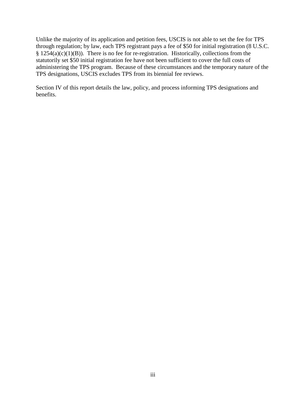Unlike the majority of its application and petition fees, USCIS is not able to set the fee for TPS through regulation; by law, each TPS registrant pays a fee of \$50 for initial registration (8 U.S.C. §  $1254(a)(c)(1)(B)$ ). There is no fee for re-registration. Historically, collections from the statutorily set \$50 initial registration fee have not been sufficient to cover the full costs of administering the TPS program. Because of these circumstances and the temporary nature of the TPS designations, USCIS excludes TPS from its biennial fee reviews.

Section IV of this report details the law, policy, and process informing TPS designations and benefits.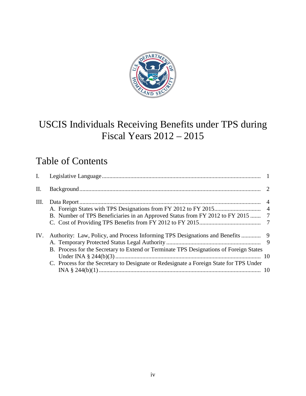

# USCIS Individuals Receiving Benefits under TPS during Fiscal Years 2012 – 2015

# Table of Contents

| $\mathbf{I}$ . |                                                                                                                                                                                                                                                                 |  |
|----------------|-----------------------------------------------------------------------------------------------------------------------------------------------------------------------------------------------------------------------------------------------------------------|--|
| Π.             |                                                                                                                                                                                                                                                                 |  |
| III.           | B. Number of TPS Beneficiaries in an Approved Status from FY 2012 to FY 2015  7                                                                                                                                                                                 |  |
| IV.            | Authority: Law, Policy, and Process Informing TPS Designations and Benefits<br>B. Process for the Secretary to Extend or Terminate TPS Designations of Foreign States<br>C. Process for the Secretary to Designate or Redesignate a Foreign State for TPS Under |  |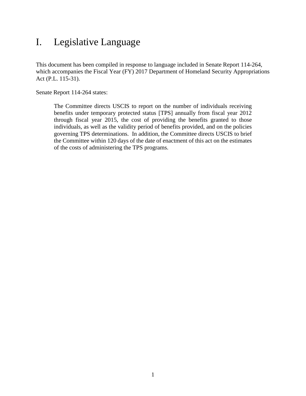# <span id="page-5-0"></span>I. Legislative Language

This document has been compiled in response to language included in Senate Report 114-264, which accompanies the Fiscal Year (FY) 2017 Department of Homeland Security Appropriations Act (P.L. 115-31).

Senate Report 114-264 states:

The Committee directs USCIS to report on the number of individuals receiving benefits under temporary protected status [TPS] annually from fiscal year 2012 through fiscal year 2015, the cost of providing the benefits granted to those individuals, as well as the validity period of benefits provided, and on the policies governing TPS determinations. In addition, the Committee directs USCIS to brief the Committee within 120 days of the date of enactment of this act on the estimates of the costs of administering the TPS programs.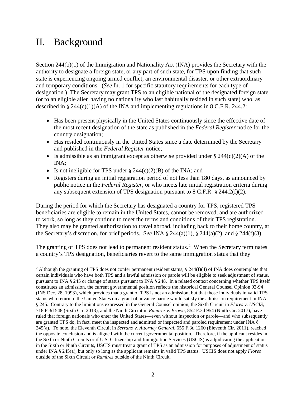# <span id="page-6-0"></span>II. Background

 $\overline{a}$ 

Section 244(b)(1) of the Immigration and Nationality Act (INA) provides the Secretary with the authority to designate a foreign state, or any part of such state, for TPS upon finding that such state is experiencing ongoing armed conflict, an environmental disaster, or other extraordinary and temporary conditions. (*See* fn. 1 for specific statutory requirements for each type of designation.) The Secretary may grant TPS to an eligible national of the designated foreign state (or to an eligible alien having no nationality who last habitually resided in such state) who, as described in § 244 $(c)(1)(A)$  of the INA and implementing regulations in 8 C.F.R. 244.2:

- Has been present physically in the United States continuously since the effective date of the most recent designation of the state as published in the *Federal Register* notice for the country designation;
- Has resided continuously in the United States since a date determined by the Secretary and published in the *Federal Register* notice;
- Is admissible as an immigrant except as otherwise provided under  $\S 244(c)(2)(A)$  of the INA;
- Is not ineligible for TPS under  $\S 244(c)(2)(B)$  of the INA; and
- Registers during an initial registration period of not less than 180 days, as announced by public notice in the *Federal Register*, or who meets late initial registration criteria during any subsequent extension of TPS designation pursuant to 8 C.F.R. § 244.2(f)(2).

During the period for which the Secretary has designated a country for TPS, registered TPS beneficiaries are eligible to remain in the United States, cannot be removed, and are authorized to work, so long as they continue to meet the terms and conditions of their TPS registration. They also may be granted authorization to travel abroad, including back to their home country, at the Secretary's discretion, for brief periods. S*ee* INA § 244(a)(1), § 244(a)(2), and § 244(f)(3).

The granting of TPS does not lead to permanent resident status.<sup>[2](#page-6-1)</sup> When the Secretary terminates a country's TPS designation, beneficiaries revert to the same immigration status that they

<span id="page-6-1"></span><sup>&</sup>lt;sup>2</sup> Although the granting of TPS does not confer permanent resident status, § 244(f)(4) of INA does contemplate that certain individuals who have both TPS and a lawful admission or parole will be eligible to seek adjustment of status, pursuant to INA § 245 or change of status pursuant to INA § 248. In a related context concerning whether TPS itself constitutes an admission, the current governmental position reflects the historical General Counsel Opinion 93-94 (INS Dec. 28, 1993), which provides that a grant of TPS is not an admission, but that those individuals in valid TPS status who return to the United States on a grant of advance parole would satisfy the admission requirement in INA § 245. Contrary to the limitations expressed in the General Counsel opinion, the Sixth Circuit in *Flores v. USCIS*, 718 F.3d 548 (Sixth Cir. 2013), and the Ninth Circuit in *Ramirez v. Brown*, 852 F.3d 954 (Ninth Cir. 2017), have ruled that foreign nationals who enter the United States—even without inspection or parole—and who subsequently are granted TPS do, in fact, meet the inspected and admitted or inspected and paroled requirement under INA § 245(a). To note, the Eleventh Circuit in *Serrano v. Attorney General*, 655 F.3d 1260 (Eleventh Cir. 2011), reached the opposite conclusion and is aligned with the current governmental position. Therefore, if the applicant resides in the Sixth or Ninth Circuits or if U.S. Citizenship and Immigration Services (USCIS) is adjudicating the application in the Sixth or Ninth Circuits, USCIS must treat a grant of TPS as an admission for purposes of adjustment of status under INA § 245(a), but only so long as the applicant remains in valid TPS status. USCIS does not apply *Flores* outside of the Sixth Circuit or *Ramirez* outside of the Ninth Circuit.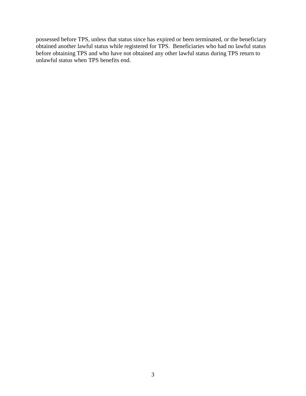possessed before TPS, unless that status since has expired or been terminated, or the beneficiary obtained another lawful status while registered for TPS. Beneficiaries who had no lawful status before obtaining TPS and who have not obtained any other lawful status during TPS return to unlawful status when TPS benefits end.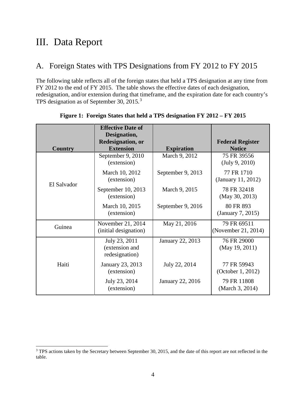## <span id="page-8-0"></span>III. Data Report

#### <span id="page-8-1"></span>A. Foreign States with TPS Designations from FY 2012 to FY 2015

The following table reflects all of the foreign states that held a TPS designation at any time from FY 2012 to the end of FY 2015. The table shows the effective dates of each designation, redesignation, and/or extension during that timeframe, and the expiration date for each country's TPS designation as of September 30, 2015.[3](#page-8-2)

|                                    | <b>Effective Date of</b><br>Designation,<br>Redesignation, or |                   | <b>Federal Register</b>            |
|------------------------------------|---------------------------------------------------------------|-------------------|------------------------------------|
| <b>Extension</b><br><b>Country</b> |                                                               | <b>Expiration</b> | <b>Notice</b>                      |
|                                    | September 9, 2010<br>(extension)                              | March 9, 2012     | 75 FR 39556<br>(July 9, 2010)      |
| El Salvador                        | March 10, 2012<br>September 9, 2013<br>(extension)            |                   | 77 FR 1710<br>(January 11, 2012)   |
|                                    | September 10, 2013<br>March 9, 2015<br>(extension)            |                   | 78 FR 32418<br>(May 30, 2013)      |
|                                    | March 10, 2015<br>(extension)                                 | September 9, 2016 | 80 FR 893<br>(January 7, 2015)     |
| Guinea                             | November 21, 2014<br>(initial designation)                    | May 21, 2016      | 79 FR 69511<br>(November 21, 2014) |
|                                    | July 23, 2011<br>(extension and<br>redesignation)             | January 22, 2013  | 76 FR 29000<br>(May 19, 2011)      |
| Haiti                              | January 23, 2013<br>(extension)                               | July 22, 2014     | 77 FR 59943<br>(October 1, 2012)   |
|                                    | July 23, 2014<br>(extension)                                  | January 22, 2016  | 79 FR 11808<br>(March 3, 2014)     |

**Figure 1: Foreign States that held a TPS designation FY 2012 – FY 2015** 

<span id="page-8-2"></span> $\overline{a}$ <sup>3</sup> TPS actions taken by the Secretary between September 30, 2015, and the date of this report are not reflected in the table.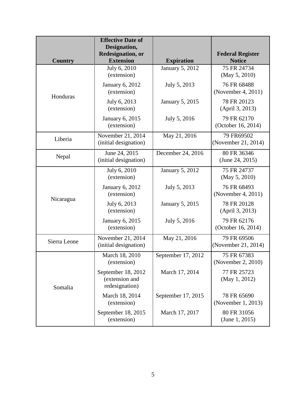| <b>Country</b>                                             | <b>Effective Date of</b><br>Designation,<br><b>Redesignation</b> , or<br><b>Extension</b> | <b>Expiration</b>      | <b>Federal Register</b><br><b>Notice</b> |  |
|------------------------------------------------------------|-------------------------------------------------------------------------------------------|------------------------|------------------------------------------|--|
|                                                            | July 6, 2010<br>(extension)                                                               | <b>January 5, 2012</b> | 75 FR 24734<br>(May 5, 2010)             |  |
|                                                            | January 6, 2012<br>(extension)                                                            | July 5, 2013           | 76 FR 68488<br>(November 4, 2011)        |  |
| Honduras                                                   | July 6, 2013<br><b>January 5, 2015</b><br>(extension)                                     |                        | 78 FR 20123<br>(April 3, 2013)           |  |
|                                                            | <b>January 6, 2015</b><br>(extension)                                                     | July 5, 2016           |                                          |  |
| Liberia                                                    | November 21, 2014<br>(initial designation)                                                |                        | 79 FR69502<br>(November 21, 2014)        |  |
| Nepal                                                      | June 24, 2015<br>December 24, 2016<br>(initial designation)                               |                        | 80 FR 36346<br>(June 24, 2015)           |  |
|                                                            | July 6, 2010<br><b>January 5, 2012</b><br>(extension)                                     |                        | 75 FR 24737<br>(May 5, 2010)             |  |
| Nicaragua                                                  | <b>January 6, 2012</b><br>July 5, 2013<br>(extension)                                     |                        | 76 FR 68493<br>(November 4, 2011)        |  |
|                                                            | July 6, 2013<br><b>January 5, 2015</b><br>(extension)                                     |                        | 78 FR 20128<br>(April 3, 2013)           |  |
|                                                            | January 6, 2015<br>(extension)                                                            | July 5, 2016           | 79 FR 62176<br>(October 16, 2014)        |  |
| November 21, 2014<br>Sierra Leone<br>(initial designation) |                                                                                           | May 21, 2016           | 79 FR 69506<br>(November 21, 2014)       |  |
|                                                            | March 18, 2010<br>(extension)                                                             | September 17, 2012     | 75 FR 67383<br>(November 2, 2010)        |  |
| Somalia                                                    | September 18, 2012<br>(extension and<br>redesignation)                                    | March 17, 2014         | 77 FR 25723<br>(May 1, 2012)             |  |
|                                                            | March 18, 2014<br>(extension)                                                             | September 17, 2015     | 78 FR 65690<br>(November 1, 2013)        |  |
|                                                            | September 18, 2015<br>(extension)                                                         | March 17, 2017         | 80 FR 31056<br>(June 1, 2015)            |  |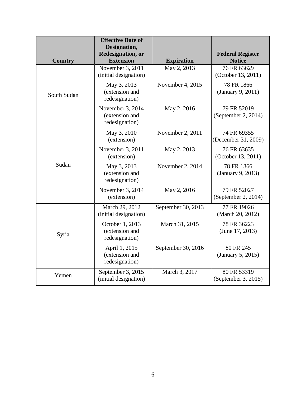| <b>Effective Date of</b><br>Designation,<br><b>Redesignation</b> , or<br><b>Extension</b><br><b>Country</b> |                                                                         | <b>Expiration</b>  | <b>Federal Register</b><br><b>Notice</b> |
|-------------------------------------------------------------------------------------------------------------|-------------------------------------------------------------------------|--------------------|------------------------------------------|
|                                                                                                             | November 3, 2011<br>(initial designation)                               | May 2, 2013        | 76 FR 63629<br>(October 13, 2011)        |
| South Sudan                                                                                                 | November 4, 2015<br>May 3, 2013<br>(extension and<br>redesignation)     |                    | 78 FR 1866<br>(January 9, 2011)          |
|                                                                                                             | November 3, 2014<br>May 2, 2016<br>(extension and<br>redesignation)     |                    | 79 FR 52019<br>(September 2, 2014)       |
|                                                                                                             | November 2, 2011<br>May 3, 2010<br>(extension)                          |                    | 74 FR 69355<br>(December 31, 2009)       |
|                                                                                                             | November 3, 2011<br>(extension)                                         | May 2, 2013        | 76 FR 63635<br>(October 13, 2011)        |
| Sudan                                                                                                       | May 3, 2013<br>(extension and<br>redesignation)                         | November 2, 2014   | 78 FR 1866<br>(January 9, 2013)          |
|                                                                                                             | November 3, 2014<br>May 2, 2016<br>(extension)                          |                    | 79 FR 52027<br>(September 2, 2014)       |
|                                                                                                             | March 29, 2012<br>(initial designation)                                 | September 30, 2013 | 77 FR 19026<br>(March 20, 2012)          |
| Syria                                                                                                       | October 1, 2013<br>(extension and<br>redesignation)                     | March 31, 2015     | 78 FR 36223<br>(June $17, 2013$ )        |
|                                                                                                             | April 1, 2015<br>September 30, 2016<br>(extension and<br>redesignation) |                    | 80 FR 245<br>(January 5, 2015)           |
| September 3, 2015<br>Yemen<br>(initial designation)                                                         |                                                                         | March 3, 2017      | 80 FR 53319<br>(September 3, 2015)       |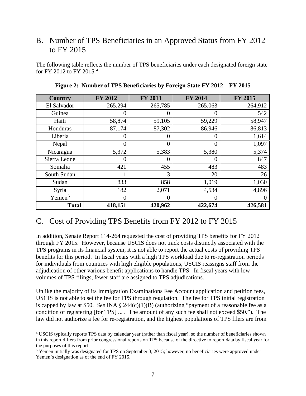#### <span id="page-11-0"></span>B. Number of TPS Beneficiaries in an Approved Status from FY 2012 to FY 2015

The following table reflects the number of TPS beneficiaries under each designated foreign state for FY 2012 to FY 2015.[4](#page-11-2)

| <b>Country</b>     | <b>FY 2012</b> | FY 2013        | <b>FY 2014</b> | <b>FY 2015</b> |
|--------------------|----------------|----------------|----------------|----------------|
| El Salvador        | 265,294        | 265,785        | 265,063        | 264,912        |
| Guinea             |                | 0              |                | 542            |
| Haiti              | 58,874         | 59,105         | 59,229         | 58,947         |
| Honduras           | 87,174         | 87,302         | 86,946         | 86,813         |
| Liberia            | 0              | $\theta$       | $\theta$       | 1,614          |
| Nepal              | 0              | $\overline{0}$ | 0              | 1,097          |
| Nicaragua          | 5,372          | 5,383          | 5,380          | 5,374          |
| Sierra Leone       |                | $\overline{0}$ |                | 847            |
| Somalia            | 421            | 455            | 483            | 483            |
| South Sudan        | 1              | 3              | 20             | 26             |
| Sudan              | 833            | 858            | 1,019          | 1,030          |
| Syria              | 182            | 2,071          | 4,534          | 4,896          |
| Yemen <sup>5</sup> | 0              | $\overline{0}$ | $\theta$       | $\Omega$       |
| <b>Total</b>       | 418,151        | 420,962        | 422,674        | 426,581        |

**Figure 2: Number of TPS Beneficiaries by Foreign State FY 2012 – FY 2015** 

#### <span id="page-11-1"></span>C. Cost of Providing TPS Benefits from FY 2012 to FY 2015

In addition, Senate Report 114-264 requested the cost of providing TPS benefits for FY 2012 through FY 2015. However, because USCIS does not track costs distinctly associated with the TPS programs in its financial system, it is not able to report the actual costs of providing TPS benefits for this period. In fiscal years with a high TPS workload due to re-registration periods for individuals from countries with high eligible populations, USCIS reassigns staff from the adjudication of other various benefit applications to handle TPS. In fiscal years with low volumes of TPS filings, fewer staff are assigned to TPS adjudications.

Unlike the majority of its Immigration Examinations Fee Account application and petition fees, USCIS is not able to set the fee for TPS through regulation. The fee for TPS initial registration is capped by law at \$50. *See* INA § 244(c)(1)(B) (authorizing "payment of a reasonable fee as a condition of registering [for TPS] ... . The amount of any such fee shall not exceed \$50."). The law did not authorize a fee for re-registration, and the highest populations of TPS filers are from

<span id="page-11-2"></span> $\overline{a}$ <sup>4</sup> USCIS typically reports TPS data by calendar year (rather than fiscal year), so the number of beneficiaries shown in this report differs from prior congressional reports on TPS because of the directive to report data by fiscal year for the purposes of this report.

<span id="page-11-3"></span><sup>&</sup>lt;sup>5</sup> Yemen initially was designated for TPS on September 3, 2015; however, no beneficiaries were approved under Yemen's designation as of the end of FY 2015.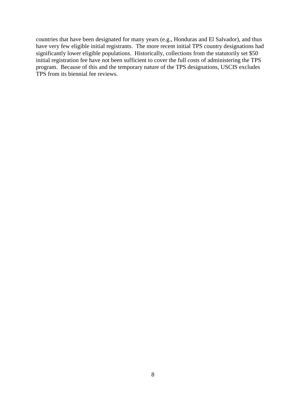countries that have been designated for many years (e.g., Honduras and El Salvador), and thus have very few eligible initial registrants. The more recent initial TPS country designations had significantly lower eligible populations. Historically, collections from the statutorily set \$50 initial registration fee have not been sufficient to cover the full costs of administering the TPS program. Because of this and the temporary nature of the TPS designations, USCIS excludes TPS from its biennial fee reviews.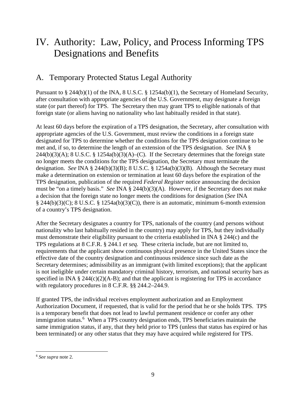# <span id="page-13-0"></span>IV. Authority: Law, Policy, and Process Informing TPS Designations and Benefits

#### <span id="page-13-1"></span>A. Temporary Protected Status Legal Authority

Pursuant to § 244(b)(1) of the INA, 8 U.S.C. § 1254a(b)(1), the Secretary of Homeland Security, after consultation with appropriate agencies of the U.S. Government, may designate a foreign state (or part thereof) for TPS. The Secretary then may grant TPS to eligible nationals of that foreign state (or aliens having no nationality who last habitually resided in that state).

At least 60 days before the expiration of a TPS designation, the Secretary, after consultation with appropriate agencies of the U.S. Government, must review the conditions in a foreign state designated for TPS to determine whether the conditions for the TPS designation continue to be met and, if so, to determine the length of an extension of the TPS designation. *See* INA §  $244(b)(3)(A)$ ; 8 U.S.C. § 1254a(b)(3)(A)–(C). If the Secretary determines that the foreign state no longer meets the conditions for the TPS designation, the Secretary must terminate the designation. *See* INA § 244(b)(3)(B); 8 U.S.C. § 1254a(b)(3)(B). Although the Secretary must make a determination on extension or termination at least 60 days before the expiration of the TPS designation, publication of the required *Federal Register* notice announcing the decision must be "on a timely basis." *See* INA § 244(b)(3)(A). However, if the Secretary does not make a decision that the foreign state no longer meets the conditions for designation (*See* INA  $\S$  244(b)(3)(C); 8 U.S.C.  $\S$  1254a(b)(3)(C)), there is an automatic, minimum 6-month extension of a country's TPS designation.

After the Secretary designates a country for TPS, nationals of the country (and persons without nationality who last habitually resided in the country) may apply for TPS, but they individually must demonstrate their eligibility pursuant to the criteria established in INA § 244(c) and the TPS regulations at 8 C.F.R. § 244.1 *et seq.* These criteria include, but are not limited to, requirements that the applicant show continuous physical presence in the United States since the effective date of the country designation and continuous residence since such date as the Secretary determines; admissibility as an immigrant (with limited exceptions); that the applicant is not ineligible under certain mandatory criminal history, terrorism, and national security bars as specified in INA  $\S$  244(c)(2)(A-B); and that the applicant is registering for TPS in accordance with regulatory procedures in 8 C.F.R. §§ 244.2–244.9.

If granted TPS, the individual receives employment authorization and an Employment Authorization Document, if requested, that is valid for the period that he or she holds TPS. TPS is a temporary benefit that does not lead to lawful permanent residence or confer any other immigration status.<sup>[6](#page-13-2)</sup> When a TPS country designation ends, TPS beneficiaries maintain the same immigration status, if any, that they held prior to TPS (unless that status has expired or has been terminated) or any other status that they may have acquired while registered for TPS.

 $\overline{a}$ 

<span id="page-13-2"></span><sup>6</sup> *See supra* note 2.